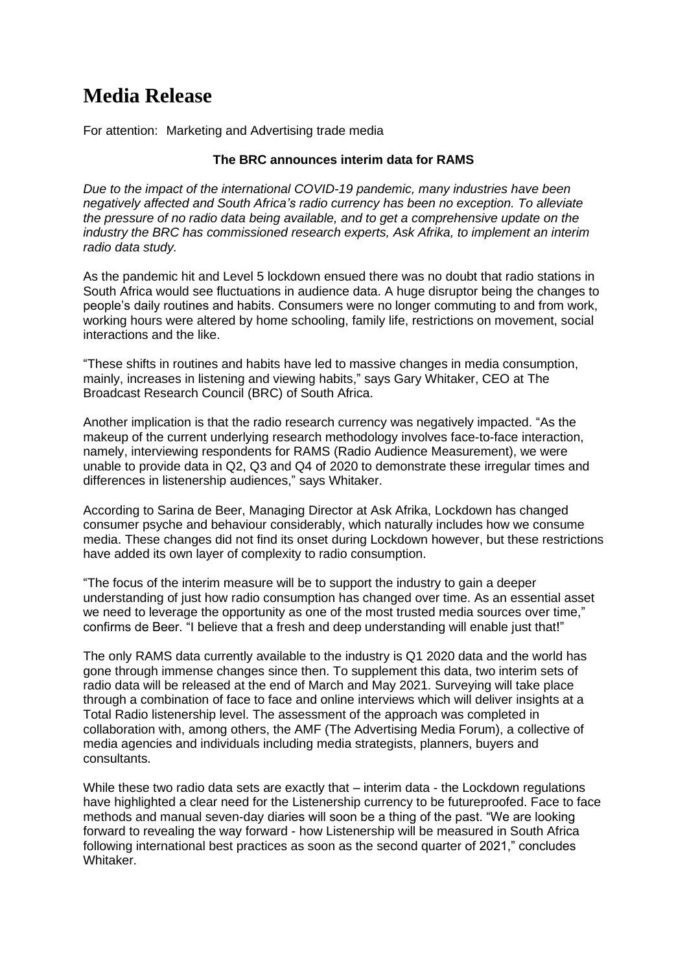## **Media Release**

For attention: Marketing and Advertising trade media

## **The BRC announces interim data for RAMS**

*Due to the impact of the international COVID-19 pandemic, many industries have been negatively affected and South Africa's radio currency has been no exception. To alleviate the pressure of no radio data being available, and to get a comprehensive update on the industry the BRC has commissioned research experts, Ask Afrika, to implement an interim radio data study.*

As the pandemic hit and Level 5 lockdown ensued there was no doubt that radio stations in South Africa would see fluctuations in audience data. A huge disruptor being the changes to people's daily routines and habits. Consumers were no longer commuting to and from work, working hours were altered by home schooling, family life, restrictions on movement, social interactions and the like.

"These shifts in routines and habits have led to massive changes in media consumption, mainly, increases in listening and viewing habits," says Gary Whitaker, CEO at The Broadcast Research Council (BRC) of South Africa.

Another implication is that the radio research currency was negatively impacted. "As the makeup of the current underlying research methodology involves face-to-face interaction, namely, interviewing respondents for RAMS (Radio Audience Measurement), we were unable to provide data in Q2, Q3 and Q4 of 2020 to demonstrate these irregular times and differences in listenership audiences," says Whitaker.

According to Sarina de Beer, Managing Director at Ask Afrika, Lockdown has changed consumer psyche and behaviour considerably, which naturally includes how we consume media. These changes did not find its onset during Lockdown however, but these restrictions have added its own layer of complexity to radio consumption.

"The focus of the interim measure will be to support the industry to gain a deeper understanding of just how radio consumption has changed over time. As an essential asset we need to leverage the opportunity as one of the most trusted media sources over time," confirms de Beer. "I believe that a fresh and deep understanding will enable just that!"

The only RAMS data currently available to the industry is Q1 2020 data and the world has gone through immense changes since then. To supplement this data, two interim sets of radio data will be released at the end of March and May 2021. Surveying will take place through a combination of face to face and online interviews which will deliver insights at a Total Radio listenership level. The assessment of the approach was completed in collaboration with, among others, the AMF (The Advertising Media Forum), a collective of media agencies and individuals including media strategists, planners, buyers and consultants.

While these two radio data sets are exactly that – interim data - the Lockdown regulations have highlighted a clear need for the Listenership currency to be futureproofed. Face to face methods and manual seven-day diaries will soon be a thing of the past. "We are looking forward to revealing the way forward - how Listenership will be measured in South Africa following international best practices as soon as the second quarter of 2021," concludes Whitaker.